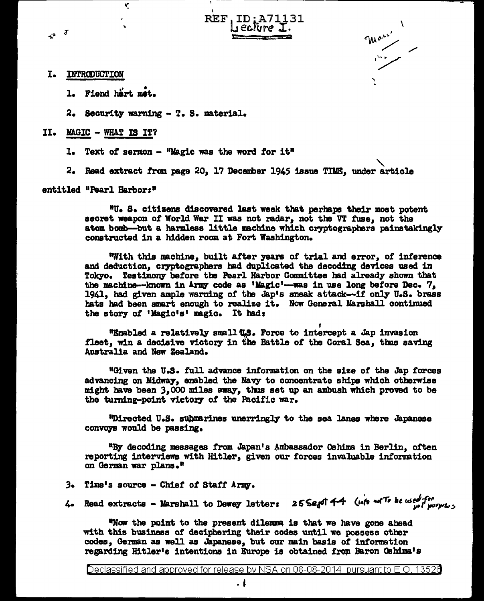Marc'

I. INTRODUCTION

 $\vec{r}$ 

1. Fiend hart met.

۴È.

2. Security warning - T. s. material.

### II. MAGIC - WHAT IS IT?

1. Text of sermon  $-$  "Magic was the word for it"

I

2. Read extract from page 20, 17 December 1945 issue TIME, under article

REF <sub>1</sub> ID ; A71131<br>Lieclure .J.

entitled "Pearl Harbors"

•u. s. citizens discovered last week that perhaps their most potent secret weapon *ot* 'World War II was not radar, not the VT tuse, not the atom bomb--but a harmless little machine which cryptographers painstakingly constructed in a hidden room at Fort Washington.

"With this machine, built after years of trial and error, of inference and deduction, cryptographers had duplicated the decoding devices used in Tokyo. Testimony before the Pearl Harbor Committee had already shown that the machine--known in Army code as 'Magic'--was in use long before Dec. 7. 1941, had given ample warning of the Jap's sneak attack--if only U.S. brass hats had been smart enough to realize it. Now General Marshall continued the story of 'Magic's' magic. It had:

**u**<br>
"Enabled a relatively small **U.S.** Force to intercept a Jap invasion fleet, win a decisive victory in the Battle of the Coral Sea, thus saving Australia and New Zealand.

"Given the u.s. full advance information on the size of the Jap forces advancing on Midway, enabled the Navy to concentrate ships which otherwise might hava been 3,000 miles away-, tlms set up an ambush which prowd to be the turning-point victory of the Pacific war.

''Directed u.s. s'UJ)marinaa unerringq to the sea lanes where Japanese convoys would be passing.

"By decoding messages from Japan's Ambassador Oshima in Berlin, often reporting interviews with Hitler, given our forces invaluable information on German war plans.<sup>n</sup>

- 3. Time's source Chief of Staff Army.
- 4• Read extracts Marshall to Dewey letter: 25'Segot 44 (info wet To be used for

"Now the point to the present dilemma is that we have gone ahead with this business of deciphering their codes until we possess other codes, German as well as Japanese, but our main basis of information regarding Hitler's intentions in Europe is obtained from Baron Oshima's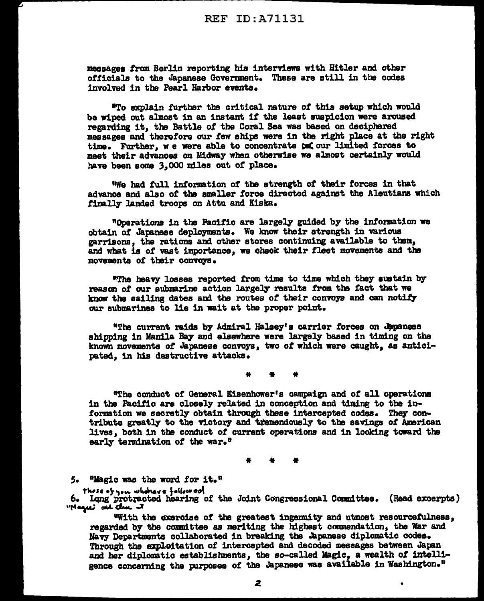messages from Berlin reporting his interviews with Hitler and other of'f'icials to the Japanese Government. These are still in the codes involved in the Pearl Harbor ewnta.

11To explain turther tbe critical nature of this setup which would be wiped out almost in an instant it the least suspicion were aroused regarding it,, the Battle *ot* the Coral Sea was based on deciphered messages and therefore our few ships were in the right place at the right time. Further, we were able to concentrate on our limited forces to meet their advances on Midway when otherwise we almost certainly would have been some 3,000 miles out of place.

"We bad full intormtion of' the strength of their forces in that advance and also of tbe smaller force directed against the Aleutians which finally landed troops on Attu and Kiska.

"Operations in the Pacific are largely guided by the information we obtain of' Japanese deployments. We know their strength in various garrisons, the rations and other stores continuing available to them. and what is of vast importance, we check their fleet movements and the movements of their convoys.

\*The heavy losses reported from time to time which they sustain by reason of our submarine action largely results from the fact that we know the sailing dates and the routes of their convoys and can notify our submarines to lie in wait at the proper point.

"The current raids by Admiral Halsey's carrier forces on Japanese shipping in Manila Bay and elsewhere were largely based in timing on the known movements of Japanese convoys, two of which were caught, as anticipated, in his destructive attacks.

\* \* \*

"The conduct of General Eisenhower's campaign and of all operations in the Pacit1c are closely re1ated in conception and timing to the information we secretly obtain through these intercepted codes. They contribute greatly to the victory and tremendously to the savings of American 11 ves, both in the conduct of current operations and in looking toward the early termination of the war.<sup>u</sup>

\* \* \*

5. "Magic was the word for it."<br>These of you whohave followed

6. Long protracted hearing of the Joint Congressional Committee. (Read excerpts) "Magee" all than it

<sup>11</sup>With the aarciae of the greatest ingenuity' and utmost resourcefulness,, regarded by the committee as meriting the highest commendation, the War and Navy Departments collaborated in breaking the Japanese diplomatic codes. Through the exploitation of intercepted and decoded messages between Japan and her diplomatic establishments, the so-called Magic, a wealth *ot* intelligence concerning the purposes of the Japanese was available in Washington."

•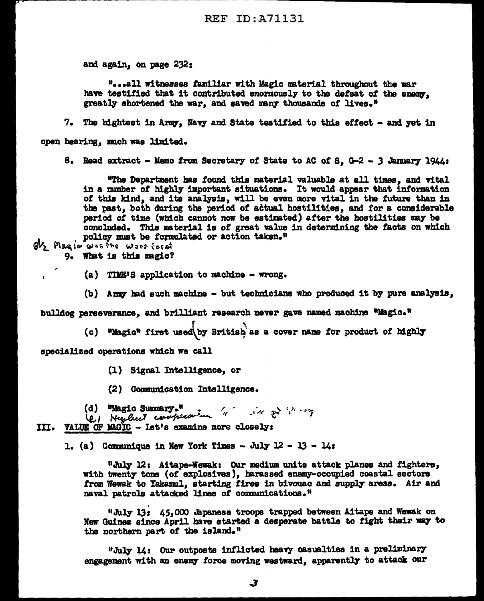and again, on page 2)2:

• ••• all witnesses familiar with Jla.gic material throughout the war have testified that it contributed enormously to the defeat of the enemy. greatly shortened the war, and saved many thousands of lives.<sup> $n$ </sup>

7. The hightest in Army, Navy and State testified to this effect  $-$  and yet in open hearing, much was limited.

8. Read extract - Memo from Secretary of State to AC of  $S$ ,  $G-2$  - 3 January 1944:

"The Department has found this material valuable at all times, and vital in a number of highly important situations. It would appear that information of this kind, and its analysis, will be even more vital in the future than in the past, both during the period of actual hostilities, and tor a considerable period ot time (which cannot now be estimated) after the hostilitiea may be concluded. This material is of great nlue in determining the facts on which policy must be formulated or action taken.<sup>"</sup>

 $g'$  Magio wostre wort forat

9. What is thia magic?

(a) TDE'S application to machine - wrong.

(b) Army had such machine - but technicians who produced it by pure analysis,

bulldog perseverance, and brilliant research never gave named machine "Magic."

 $(c)$  "Magic" first used by British as a cover name for product of highly

specialized operations which we call

(1) Signal Intelligence., or

(2) Comnunication Intelligence.

(d) Wagic Summary."<br>(e) H*eglect cooperation is six as*  $\mathcal{C}^{\prime}$ III. VALUE OF MAGIC - Let's examine more closely:

1. (a) Communique in New York Times - July  $12 - 13 - 14$ :

"July 12: Aitape-Wewak: Our medium units attack planes and fighters, with twenty tons (of explosives), harassed enemy-occupied coastal sectors from Wewak to Yakamul, starting fires in bivouac and supply areas. Air and naval patrols attacked lines of communications.<sup>1</sup>

"July  $13i$  45,000 Japanese troops trapped between Altape and Wewak on New Guinea since April have started a desperate battle to fight their way to the northern part of the island.<sup>11</sup>

"July 14: Our outposts inflicted heavy casualties in a preliminary engagement with an enemy force moving westward, apparently to attack our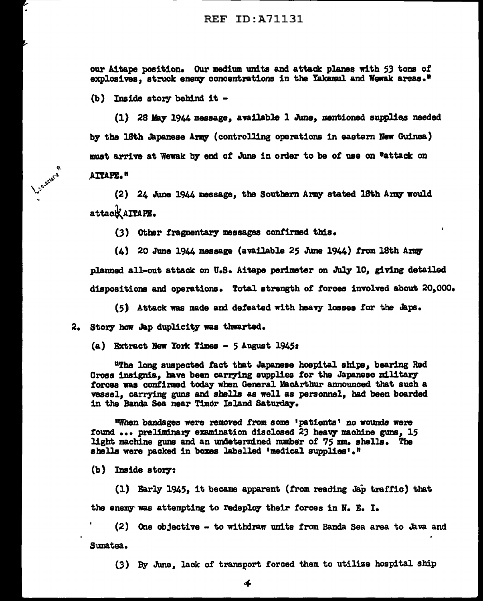our Aitape position. our medium units and attack planee with 53 tons of explosives, struck enemy concentrations in the Yakamul and Wewak areas.<sup>n</sup>

 $(b)$  Inside story behind it -

Sheriffere

 $(1)$  28 May 1944 message, available 1 June, mentioned supplies needed by the 18th Japanese Army (controlling operations in eastern New Guinea) must arr1'98 at Wewak by end of June in order to be of use on "attack on AITAPE.<sup>#</sup>

(2) 24 June 1944 message, the Southern Army stated 18th Army would attac<sup>k</sup> AITAPE.

(3) Other fragmentary messages confirmed this.

 $(4)$  20 June 1944 message (available 25 June 1944) from 18th Army planned all-out attack on U.S. Aitape perimeter on July 10, giving detailed diapoaitiona and operations. Total strength of forces involved about 20,000.

(5) Attack was made and defeated with heavy losses for the Japs.

2. Story how Jap duplicity was thwarted.

 $(a)$  Extract New York Times  $-$  5 August 1945;

"The long suspected fact that Japanese hospital ships, bearing Rad Cross insignia, have been carrying supplies for the Japanese military forces was confirmed today when General MacArthur announced that such a vassel, carrying guns and shells as well as personnel, had been boarded in the Banda Sea near Timor Island Saturday.

"When bandages were removed from s oms 1 patients 1 no wounds were found ... preliminary examination disclosed 23 heavy machine guns, 15 light machine guns and an undetermined number of 75 mm. shells. The shells were packed in boxes labelled 'medical supplies'."

 $(b)$  Inside story:

 $(1)$  Early 1945, it became apparent (from reading Jap traffic) that the enemy was attempting to redeploy their forces in N. E. I.

(2) One objective - to withdraw units from Banda Sea area to Java and Suma tea.

 $(3)$  By June, lack of transport forced them to utilize hospital ship

4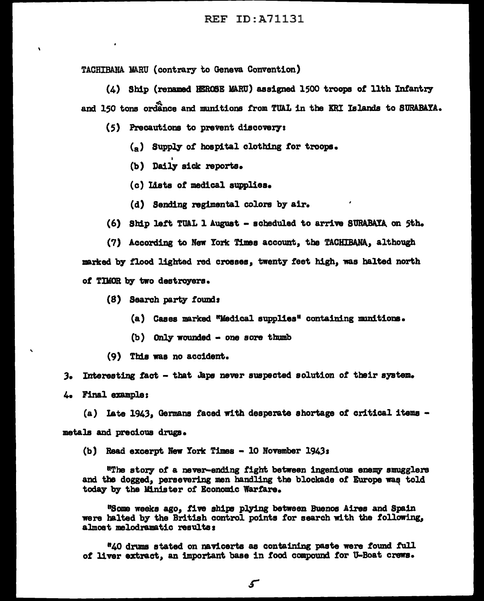TACHIBANA MARU (contrary to Geneva Convention)

(4) Ship (renamed IBR<BE MARU) assigned 1500 troops *ot* 11th Infantry and 150 tons ordance and munitions from TUAL in the KRI Islands to SURABAYA.

- ( 5) Precautions to prevent d1scowry1
	- $(a)$  Supply of hospital clothing for troops.
	- (b) Daily sick reports.
	- (c) Lists of' medical supplies.
	- (d) Sending regimental colors by air.
- (6) Ship left TUAL 1 August scheduled to arrive SURABAYA on 5th.

(7) According to New York Times account, the TACHIBANA, although marked by flood lighted red crosses, twenty feet high, was halted north of TIMOR by two destroyers.

- $(8)$  Search party founds
	- $(a)$  Cases marked "Medical supplies" containing munitions.
	- (b) Only wounded one sore thumb
- (9) This was no accident.

*3.* Interesting tact - that Japa never suspected solution of their syatem.

4. Pinal aample:

 $\bullet$ 

(a) Late 1943, Germans faced with desperate shortage of critical items  $$ metals and precious drugs.

(b) Raad excerpt New York Times - 10 November 1943•

"The story of a never-ending fight between ingenious enemy smugglers and the dogged, persevering men handling the blockade of Europe was told today by the Minister of Economic Warfare.

"Some weeks ago, five ships plying between Buenos Aires and Spain were halted by the British control points for search with the following, almost melodramatic results:

n40 drums stated on navi.certa as containing paste were found tull of liver extract, an important base in food compound for U-Boat crews.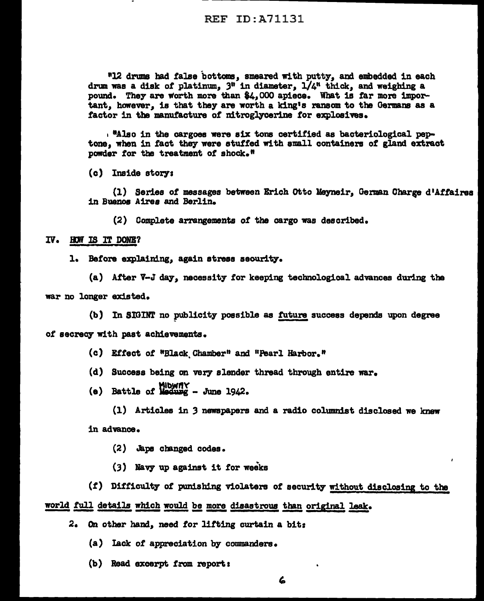"12 drums had false bottoms, smeared with putty, and embedded in each drum was a disk of platinum,  $3<sup>th</sup>$  in diameter,  $1/4<sup>th</sup>$  thick, and weighing a pound. They are worth more than \$4,000 apiece. What is far more important, howewr, is that they are worth a king's ransom to the Germana as <sup>a</sup> factor in the manufacture of nitroglycerine for explosives.

 $1$ <sup>a</sup>Also in the cargoes were six tons certified as bacteriological peptone, when 1n fact they were stutfed with small containers of gland extract powder for the treatment of shock."

 $(c)$  Inside story:

(1) Series of messages between Erich Otto Meyneir, German Charge d'Affaires in Buenos Aires and Berlin.

(2) Complete arrangements of' the cargo was described.

#### IV. HOW IS IT DONE?

1. Before explaining, again stress security.

(a) After V-J day, necessity for keeping technological advances during the war no longer existed.

(b) In SIGINT no publicity possible as future success depends upon degree of secrecy with past achievements.

- (c) Effect of "Black Chamber" and "Pearl Harbor."
- (d) Success being on very slender thread through entire war.
- (a) Battle of MibwAY June 1942.

(1) Articles in 3 newspapers and a radio columnist disclosed we knew

in advance.

- (2) Jape changed codes.
- (3) Navy up against it for weeks

(f) Difficulty of punishing violaters of security without disclosing to the world full details which would be more disastrous than original leak.

2. *On.* other hand, need for lilting curtain a bits

(a) Lack of appreciation by commanders.

(b) Read excerpt from report:

6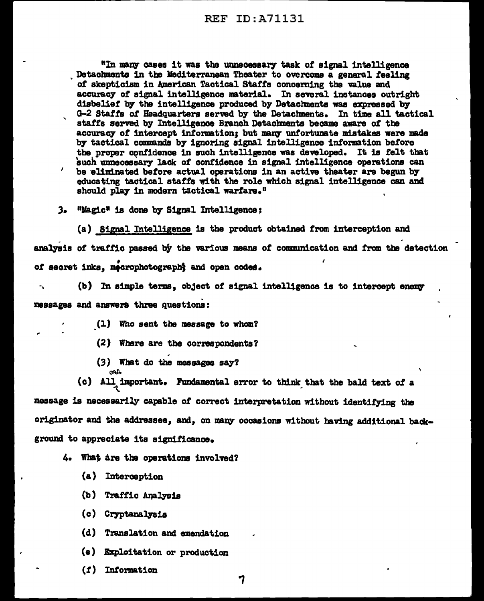"In many cases it was the unnecessary task of signal intelligence Detachments in the Mediterranean Theater to overcome a general feeling of skepticism in American Tactical Staffs concerning the value and accuracy of signal intelligence material. In several instances outright disbelief by the intelligence produced by Detachments was expressed by G-2 Staffs of Headquarters served by the Detachments. In time all tactical staffs served by Intelligence Branch Detachments became aware of the accuracy of intercept information; but many unfortunate mistakes were made by tactical commands by ignoring signal intelligence information before the proper confidence in such intelligence was developed. It is felt that such unnecessary lack of confidence in signal intelligence operations can be eliminated before actual operations in an active theater are begun by educating tactical staffs with the role which signal intelligence can and should play in modern tactical warfare."

*3.* <sup>1</sup>Magic11 is done b7 Signal Intelligences

 $\mathbf{I}$ 

(a) Signal Intelligence is the product obtained from interception and analysis of traffic passed by the various means of communication and from the detection of secret inks, mecrophotograph and open codes.

(b) In simple terms, object of signal intelligence is to intercept enemy messages and answers three questions:

- (1) Who sent the message to whom?
- (2) Where are the correspondents?
- ,  $(3)$  What do the messages say? ~

(c) All important. Fundamental error to think that the bald text *ot* a <sup>~</sup>, message is necessarily capable of correct interpretation without identifying the originator and the addressee, and, on many occasions without having additional background to appreciate its significance.

4. What are the operations involved?

- (a) Interception
- (b) Traffic Analysis
- (c) Cryptanalysis
- (d) Translation and emendation
- (e) Exploitation or production

 $(f)$  Information

1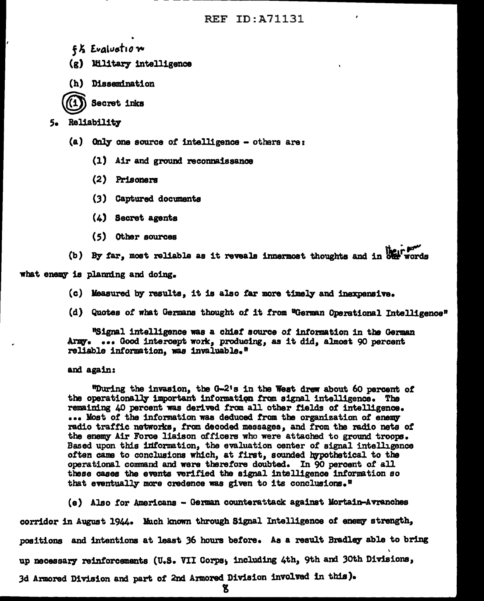# - - ------------------------- REF ID:A71131

- j Ji; £.val11ot1 *o* <sup>~</sup>
- (g) lilitary intelligence
- (h) Dissemination

Secret inks

s. Reliabilit7

- (a) Only one source of intelligence others are:
	- (1) Air and ground reconnaissance
	- (2) Prisoners
	- (.3) Captured documents
	- (4) Secret agents
	- (S) Other sources

(b) By far, most reliable as it reveals innermost thoughts and in our words what enemy is planning and doing.

- (c) Measured by results, it is also far more timely and inexpensive.
- (d) Quotes of what Germans thought *ot* it from "Ge:rmn Operational Intelligence•

"Signal intelligence was a chief source of information in the German Army. ... Good intercept work, producing, as it did, almost 90 percent reliable information, was invaluable."

and again:

"During the invasion, the G-2•s in the Weat drw about 60 percent of the operationally important information from signal intelligence. The remaining 40 percent was derived from all other fields of intelligence.  $\cdots$  Most of the information was deduced from the organization of enemy radio traffic networks, from decoded messages, and from the radio nets of' the enemy Air Force liaison officers who were attached to ground troops. Based upon this information, the evaluation center of signal intelligence often came to conclusions which, at first, sounded hypothetical to the operational command and were therefore doubted. In 90 percent of all these cases the ewnts verified the signal intelligence information so that eventually more credence was given to its conclusions.<sup>"</sup>

(e) Also for Americans - German counterat.tack against Mortain-Avranches corridor in August 1944. Much known through Signal Intelligence of enemy strength, positions and intentions at least 36 hours before. As a result Bradley able to bring up necessary reinforcements (U.S. VII Corps, including 4th, 9th and 30th Divisions, )d Armored Division and part of 2nd Armored Division involved in this).

!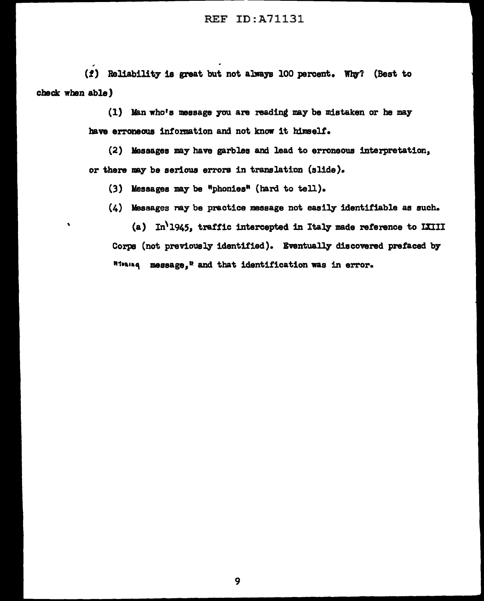### REF ID:A71131

 $(\hat{f})$  Reliability is great but not always 100 percent. Why? (Best to check when able)

> $(1)$  Man who's message you are reading may be mistaken or he may have erroneous information and not know it himself.

(2) Messages may have garbles and lead to erroneous interpretation, or there may be serious errors in translation (slide).

(3) Messages may be "phonies" (hard to tell).

 $\bullet$ 

(4) Messages ray be practice message not easily identifiable as such.

(a) In<sup>1</sup>1945, traffic intercepted in Italy made reference to IXIII Corps (not previously identified). Eventually discovered prefaced by "THAIRq message," and that identification was in error.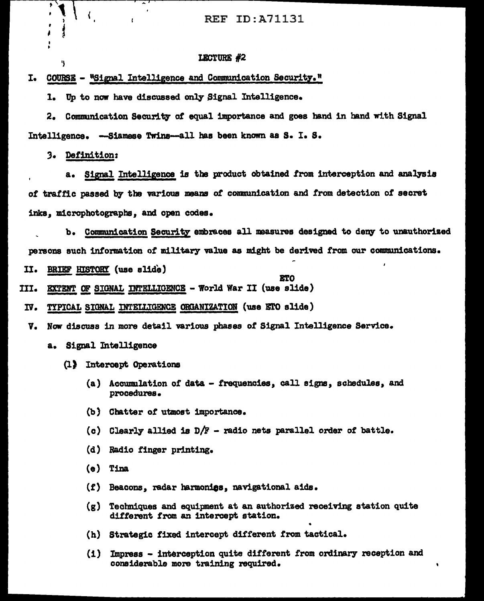:, which is a set of  $\mathcal{L}$  , and  $\mathcal{L}$  , and  $\mathcal{L}$  , and  $\mathcal{L}$  , and  $\mathcal{L}$  , and  $\mathcal{L}$  , and  $\mathcal{L}$  , and  $\mathcal{L}$  , and  $\mathcal{L}$  , and  $\mathcal{L}$  , and  $\mathcal{L}$  , and  $\mathcal{L}$  , and  $\mathcal{L}$  , and  $\mathcal{$  $\sqrt{10}$  REF ID:A71131

### $\text{LECTURE } \#2$

I. COUBSB - "Signal Intelligence and Communication Security."

1. Up to now have discussed only Signal Intelligence.

2. Communication Security of equal importance and goes hand in hand with Signal Intelligence. -Siamese Twina-all has been known aa s. I. s.

*3.* Definition:

 $\frac{1}{2}$ 

a. Signal Intelligence is the product obtained from interception and analysis of traffic passed by the various means of communication and from detection of secret inks, microphotographs, and open codes.

b. Communication Security embraces all measures designed to deny to unauthorized persons such information of military value as might be derived from our communications.

ITO

II. BRIEF msTORt (use slide)

III. EXTENT OF SIGNAL INTELLIGENCE - World War II (use slide)

IV. TYPICAL SIGNAL INTELLIGENCE ORGANIZATION (use ETO slide)

V. Now discuss in more detail various phases of Signal Intelligence Service.

- a. Signal Intelligence
	- (lJ Intercept Operations
		- (a) Accumulation of data frequencies, call signs, schedules, and procedures.
		- (b) Chatter of utmost importance.
		- (c) Clearly allied is  $D/F$  radio nets parallel order of battle.
		- (d) Radio finger printing.
		- (e) Tina
		- (f) Beacons, radar harmonigs, navigational aids.
		- (g) Tectmiques and equipment at an authorized receiving station quite different from an intercept station.
		- (h) Strategic fixed intercept different from tactical.
		- (1) Impress interception quite different from ordinary reception and considerable more training required.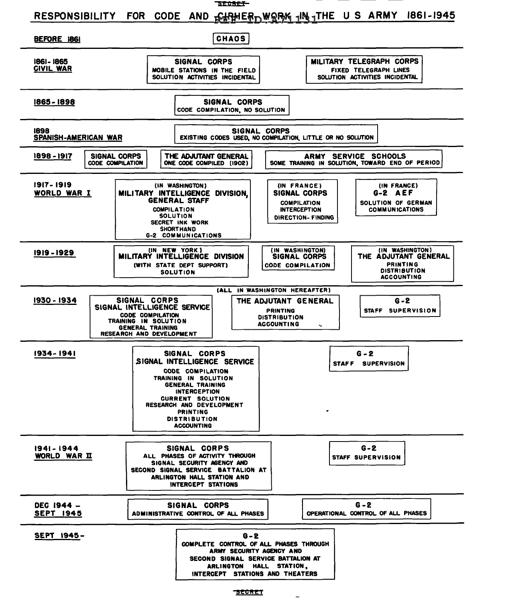**SECRET** 

## RESPONSIBILITY FOR CODE AND REPHERD WORK 1IN THE US ARMY 1861-1945

| BEFORE 1861                                                                                                                                                                                                                                                                                                                   | CHAOS                                                                                                                                                                                                                                                                                                                                                             |
|-------------------------------------------------------------------------------------------------------------------------------------------------------------------------------------------------------------------------------------------------------------------------------------------------------------------------------|-------------------------------------------------------------------------------------------------------------------------------------------------------------------------------------------------------------------------------------------------------------------------------------------------------------------------------------------------------------------|
| 1861 - 1865<br><b>CIVIL WAR</b>                                                                                                                                                                                                                                                                                               | MILITARY TELEGRAPH CORPS<br>SIGNAL CORPS<br>MOBILE STATIONS IN THE FIELD<br>FIXED TELEGRAPH LINES<br>SOLUTION ACTIVITIES INCIDENTAL<br>SOLUTION ACTIVITIES INCIDENTAL                                                                                                                                                                                             |
| <u> 1865 - 1898</u>                                                                                                                                                                                                                                                                                                           | SIGNAL CORPS<br>CODE COMPILATION, NO SOLUTION                                                                                                                                                                                                                                                                                                                     |
| 1898<br>SIGNAL CORPS<br><b>SPANISH-AMERICAN WAR</b><br>EXISTING CODES USED, NO COMPILATION, LITTLE OR NO SOLUTION                                                                                                                                                                                                             |                                                                                                                                                                                                                                                                                                                                                                   |
| 1898-1917                                                                                                                                                                                                                                                                                                                     | THE ADJUTANT GENERAL<br>ARMY SERVICE SCHOOLS<br>SIGNAL CORPS<br>SOME TRAINING IN SOLUTION, TOWARD END OF PERIOD<br><b>CODE COMPILATION</b><br>ONE CODE COMPILED (1902)                                                                                                                                                                                            |
| 1917 - 1919<br>WORLD WAR I                                                                                                                                                                                                                                                                                                    | (IN FRANCE)<br>(IN WASHINGTON)<br>(IN FRANCE)<br>G-2 AEF<br>MILITARY INTELLIGENCE DIVISION.<br><b>SIGNAL CORPS</b><br><b>GENERAL STAFF</b><br>SOLUTION OF GERMAN<br><b>COMPILATION</b><br><b>COMPILATION</b><br><b>COMMUNICATIONS</b><br><b>INTERCEPTION</b><br><b>SOLUTION</b><br>DIRECTION-FINDING<br>SECRET INK WORK<br>SHORTHAND<br><b>G-2 COMMUNICATIONS</b> |
| 1919 - 1929                                                                                                                                                                                                                                                                                                                   | (IN NEW YORK)<br>(IN WASHINGTON)<br>(IN WASHINGTON)<br>THE ADJUTANT GENERAL<br>MILITARY INTELLIGENCE DIVISION<br>SIGNAL CORPS<br><b>PRINTING</b><br>(WITH STATE DEPT SUPPORT)<br><b>CODE COMPILATION</b><br><b>DISTRIBUTION</b><br><b>SOLUTION</b><br><b>ACCOUNTING</b>                                                                                           |
| (ALL IN WASHINGTON HEREAFTER)<br>SIGNAL CORPS<br>1930 - 1934<br>THE ADJUTANT GENERAL<br>G - 2<br>SIGNAL INTELLIGENCE SERVICE<br>STAFF SUPERVISION<br><b>PRINTING</b><br><b>CODE COMPILATION</b><br><b>DISTRIBUTION</b><br>TRAINING IN SOLUTION<br>ACCOUNTING<br>$\sim$<br><b>GENERAL TRAINING</b><br>RESEARCH AND DEVELOPMENT |                                                                                                                                                                                                                                                                                                                                                                   |
| 1934 - 1941                                                                                                                                                                                                                                                                                                                   | SIGNAL CORPS<br>G - 2<br>SIGNAL INTELLIGENCE SERVICE<br><b>SUPERVISION</b><br><b>STAFF</b><br><b>CODE COMPILATION</b><br>TRAINING IN SOLUTION<br><b>GENERAL TRAINING</b><br><b>INTERCEPTION</b><br><b>CURRENT SOLUTION</b><br>RESEARCH AND DEVELOPMENT<br><b>PRINTING</b><br><b>DISTRIBUTION</b><br><b>ACCOUNTING</b>                                             |
| 1941 - 1944<br><b>WORLD WAR II</b>                                                                                                                                                                                                                                                                                            | G – 2<br>SIGNAL CORPS<br>ALL PHASES OF ACTIVITY THROUGH<br>STAFF SUPERVISION<br>SIGNAL SECURITY AGENCY AND<br>SECOND SIGNAL SERVICE BATTALION AT<br>ARLINGTON HALL STATION AND<br>INTERCEPT STATIONS                                                                                                                                                              |
| DEC 1944 -<br><b>SEPT 1945</b>                                                                                                                                                                                                                                                                                                | $G - 2$<br>SIGNAL CORPS<br>ADMINISTRATIVE CONTROL OF ALL PHASES<br>OPERATIONAL CONTROL OF ALL PHASES                                                                                                                                                                                                                                                              |
| <b>SEPT 1945-</b>                                                                                                                                                                                                                                                                                                             | G - 2<br>COMPLETE CONTROL OF ALL PHASES THROUGH<br>ARMY SECURITY AGENCY AND<br>SECOND SIGNAL SERVICE BATTALION AT<br>ARLINGTON HALL STATION,<br>INTERGEPT STATIONS AND THEATERS<br><u>SECRET</u>                                                                                                                                                                  |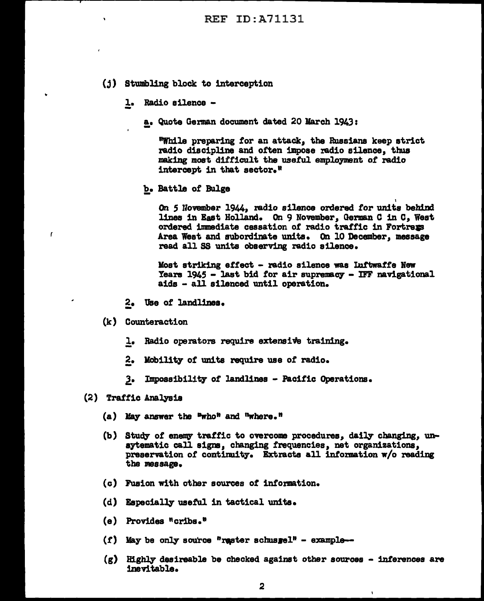- (j) Stumbling block to interception
	- -

1. Radio silence -<br>a. Quote German document dated 20 March 1943:<br>"While preparing for an attack, the Russians keep strict" radio discipline and often impose radio silence, thus making most difficult the useful employment of radio intercept in that sector."

2.• Battle of Bulge

On S llovember 1944, radio silence ordered *tor* units behind lines in East Holland. On 9 November, German C in C, West ordered immediate cessation of radio traffic in Fortrexs Area West and subordinate units. On 10 December, message read all SS units observing radio silence.

I

Most striking effect - radio silence was Luftwaffe New Years  $1945$  - last bid for air supremacy - IFF navigational aids - all silenced until operation.

- $2.$  Use of landlines.<br>(k) Counteraction
- 

T

- 1. Radio operators require extensive training.
- 2. Mobility *ot* units require use of radio. -
- 3. Impossibility of landlines Pacific Operations.<br>(2) Traffic Analysis

- $(a)$  May answer the "who" and "where."
- (b) Study of enemy traffic to overcome procedures, daily changing, unaytamatic call signs, changing frequencies, net organizations, preservation of contimity. Extracts all information w/o reading the message.
- (c) Fusion with other sources of information.
- (d) Especially useful in tactical units.
- $(e)$  Provides "cribs."
- $(f)$  May be only source "rester schussel" example--
- $(g)$  Highly desireable be checked against other sources inferences are inevitable.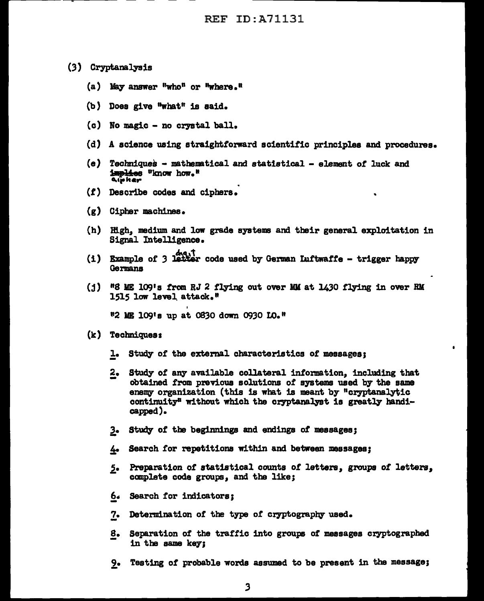- (3) Cryptanalysis
	- (a) May answer "who" or "where."
	- (b) Does give "what" is said.
	- (c) No magic no crystal ball.
	- (d) A science using straightforward scientific principles and procedures.
	- (e) Techniques mathenatical and statistical element of luck and implies "know how."
	- (t) Describe codes and ciphers.
	- (g) Cipber machines.
	- (h) High, medium and low grade syatems and their general exploitation in Signal Intelligence.
	- $(i)$  Example of 3 letter code used by German Iuftwaffe trigger happy Germans
	- (j)  $\sqrt{18}$  MG 109's from RJ 2 flying out over MM at 1430 flying in over RM 1515 low level attack."

"2 MB 109' a up at 0830 down 0930 LO."

- (k) Teclmiques s
	- 1. Study of the external characteristics of messages;
	- 2. Study of any available collateral information, including that obtained from previous solutions of systems used by the same enemy organization (this is what is meant by "cryptanalytic continuity" without which the cryptanalyst is greatly handicapped).
	- 3. Study of the beginnings and endings of messages;
	- 4. Search for repetitions within and between messages;
	- 2.• Preparation of statistical counts of letters, groups *ot* letters, cmplete code groups, and the like;
	- 6. Search for indicators;
	- 7. Determination of the type of cryptography used.
	- 8. Separation of the traffic into groups *ot* messages cryptographed 1n the same key;
	- 9. Testing of probable words assumed to be present in the message;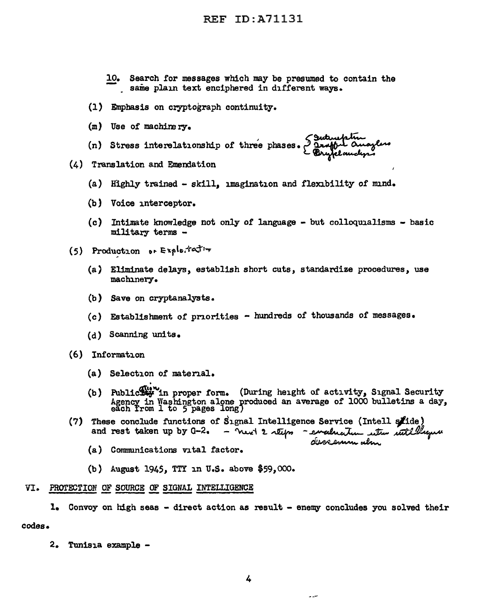- 10. Search for messages which may be presumed to contain the same plain text enciphered in different ways.
- (1) Emphasis on cryptograph continuity.
- $(m)$  Use of machine  $ry_{\bullet}$
- (n) USE UL HERITALIONSHIP of three phases. Sure and analyles
- (4) Translation and Emendation
	- (a) Highly trained  $-$  skill, imagination and flexibility of mind.
	- (b) Voice interceptor.
	- (c) Intimate knowledge not only of language but colloquialisms basic military terms -
- (5) Production or Exploitative
	- (aj Eliminate delays, establish short cuts, standardize procedures, use machinery.
	- (b) Save on cryptanalysts.
	- (c) Establishment of priorities hundreds of thousands of messages.
	- (d) Scanning units.
- (6) Information
	-
	- (a) Selection of material.<br>(b) Public<sup>1</sup> in proper form. (During height of activity, Signal Security)
- (7) These conclude functions of Signal Intelligence Service (Intell side) Agency in Washington alone produced an average of 1000 bulletins a day, each Irom 1 to 5 pages long)<br>e conclude functions of Signal Intelligence Service (Intell side)<br>rest taken up by G-2. - next 2 reps - every method wit These conclude functions of  $\hat{S}$ ignal Intelligence Service (Intell<br>and rest taken up by G-2. - Next 2 regn - enclosed into e Service (Intell s**f**id<br>enalnatum utur *nutl*<br>dieselann ulm
	- (a) Communications vital factor.
	- (b} August 1945, TTY in U.S. above \$59,000.

#### VI. PROTECTION OF SOURCE OF SIGNAL INTELLIGENCE

1. Convoy on high seas - direct action as result - enemy concludes you solved their codes.

2. Tunisia example -

مس بر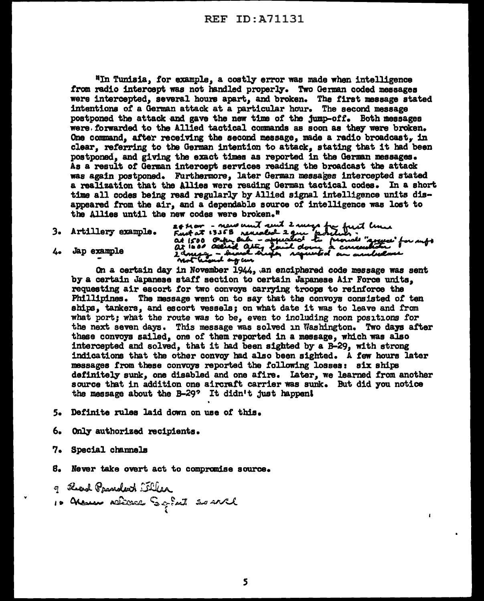"In Tunisia, for example, a costly error was made when intelligence from radio intercept was not handled properly. Two German coded messages were intercepted, several hours apart, and broken. The first message stated intentions of a German attack at a particular hour. The second message postponed the attack and gave the new time of the jump-off. Both messages were. forwarded to the Allied tactical comnands as soon as they' were broken. One command, after receiving the second message, made a radio broadcast, in clear, referring to the German intention to attack, stating that it had been postponed, and giving the exact times as reported in the German messages. As a result of German intercept services reading the broadcast the attack was again postponed. Furthermore, later German messages intercepted stated a realization that the Allies were reading German tactical codes. In a short time all codes being read regularly by Allied signal intelligence units disappeared from the air, and a dependable source of intelligence was lost to the Allies until the new codes were broken.<sup>\*</sup>

- 
- 

the Allies until the new codes were broken."<br>2014 - pawamit and 2 mag fright lime<br>3. Artillery example. Fust at 1336B renealed 2 give protection  $\alpha$   $\sim$   $\sim$ سمهم -<br>**13**36B orpe arb - appealed to p ble source of intelligence was lost<br>broken."<br>unt suit 2 mags for furt lines<br>remaded 2 gm position is more lines<br>ab - appealed to provid "angel" for 4. Jap example at 1600 acend arty land down a concertation of ...................<br>4. Jap example 2 donney - hunch argument and announcement

On a certain day in November 1944, ,an enciphered code message was sent by a certain Japanese staff' section to certain Japanese Air Force units, requesting air escort for two convoya carrying troops to reinforce the Phillipines. The massage went on to say that the convoys consisted of ten ships, tankers, and escort vessels; on what date it was to leave and from what port; what the route was to be, even to including noon positions for the next seven days. This message was solved in Washington. Two days after these convoys sailed, one of them reported in a message, which was also intercepted and solved, that it had been sighted by a  $B-29$ , with strong indications that the other convoy had also been sighted. A *tew* hours later massages from these convoys reported the following losses: six ships definitely sunk, one disabled and one afire. Later, we learned from another source that in addition one aircraft carrier was sunk. But did you notice the message about the B-29° It didn't just happen!

- 5. Definite rules laid dawn on use *ot* this.
- 6. Only authorized recipients.
- 7. Special channels

..

B. Never take owrt act to comprmise source •

9 Read Prandert Silen 10 Aroun Active Squat soute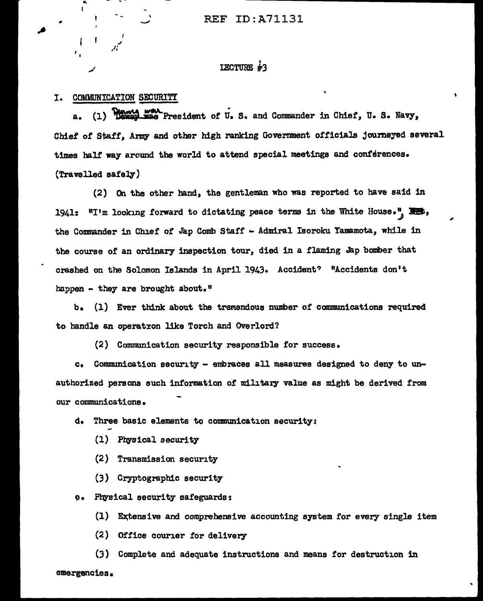#### REF ID:A71131

### f IECTURE #3

#### I. COMMUNICATIOM SECURITY

I

...

 $\mathbf{I}$ 

a. (1) Dewey was President of U.S. and Commander in Chief, U.S. Navy, Chief of Staff, Army and other high ranking Government officials joumeyed several times half way around the world to attend special meetings and conferences. {Travelled safe]J')

(2) On the other hand, the gentleman who was reported to have said in 1941: "I'm looking forward to dictating peace terms in the White House."  $\mathbb{R}$ ; the Commander in Chief of Jap Comb Staff - Admiral Isoroku Yamamota, while in the course of an ordinary inspection tour, died in a flaming Jap bomber that crashed on the Solomon Islands in April 1943· Accident? "Accidents don't happen - they are brought about."

 $b_{\bullet}$  (1) Ever think about the tremendous number of communications required to handle an operatron like Torch and Overlord?

 $(2)$  Communication security responsible for success.

 $c<sub>0</sub>$  Communication security - embraces all measures designed to deny to unauthorized persons such information of military value as might be derived from our communications.

d. Three basic elements to communication security:

- (1) Physical security
- (2) Transmission security
- (3) Cryptographic security

 $e$ . Physical security safeguards:

 $(1)$  Extensive and comprehensive accounting system for every single item

(2) Office courier for delivery

(3) Complete and adequate instructions and means for destruction in emergencies.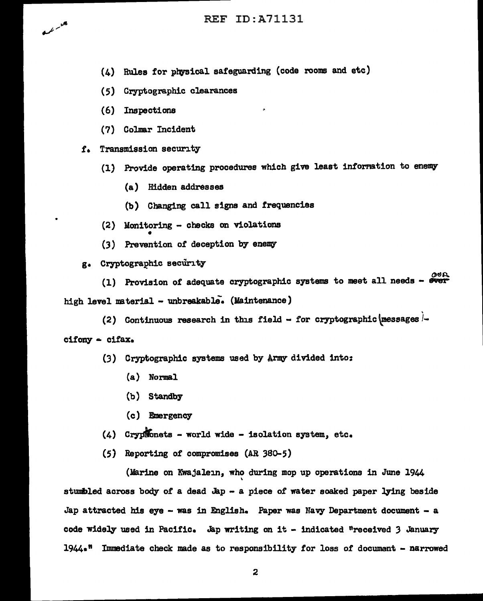

- (4) Rules for physical safeguarding (code rooms and etc)
- ( 5) Cryptographic clearances
- ( 6) Inspections

فكحور بممر

(7) Colmar Incident

*t.* Transmission security

- (1) Provide operating procedures which give least information to enemy
	- (a) Hidden addresses
	- (b) Changing call signs and f'requencies
- (2) Monitoring checks on violations •
- (3) Prevention of deception by enenv
- g. Cryptographic security

(1) Provision of adequate cryptographic systems to meet all needs  $\sim \overbrace{\text{over}}^{\text{Q} \circ \text{R}}$ high level material - unbreakable. (Maintenance)

(2) Continuous research in this field - for cryptographic (messages)-

 $cifony - cifax.$ 

- (3) Cryptographic systems used by Army divided into:
	- (a) Normal
	- (b) Standby
	- ( c) Emergency
- (4) cryp'ffonets world wide isolation system, etc.
- ( 5) Reporting of compromises (AR 380-5)

(Marine on Kwajalein, who during mop up operations in June 1944 stumbled across body of a dead  $Jap - a$  piece of water soaked paper lying beside Jap attracted his eye - was in English. Paper was Navy Department document - a code wideq used in Pacific. Jap writing on it - indicated "received *3* January  $1944 \cdot$ <sup>n</sup> Immediate check made as to responsibility for loss of document - narrowed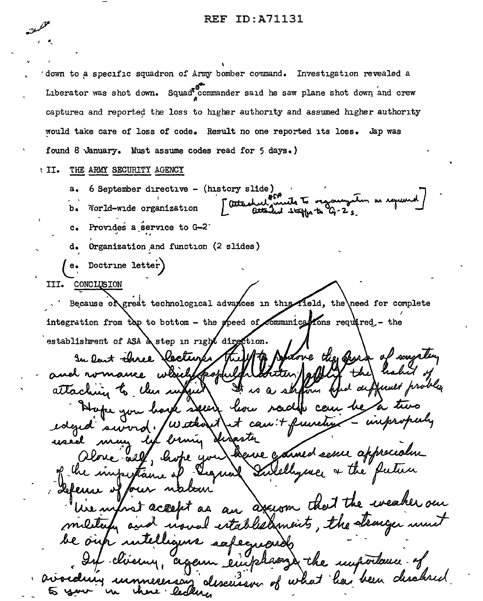\ 'down to a specific squadron of Army bomber command. Investigation revealed a Liberator was shot down. Squad $^{\bullet}_{\bullet}$  commander said he saw plane shot down and crew capturea and reported the loss to higher authority and assumed higher authority would take care of loss of code. Result no one reported its loss. Jap was found 8 ·January. Must assume codes read for 5 days.)

#### <sup>~</sup>II. THE ARMY SECURITY AGENCY

 $\overline{a}$ 

(history slide)  $\overline{\mathcal{L}}$  (history slide)  $\overline{\mathcal{L}}$  one  $\overline{\mathcal{L}}$  is the set  $\overline{\mathcal{L}}$ tory slide)<br>[ attenbut mits to vigourgation as reprend] a. 6 September directive - (history slide) - ' patroduct with to organization as require b. World-wide organization "  $c$ . Provides a service to  $G-2$ d. Organization.and function (2 slides) e. Doctrine letter) III. CONCLUSION  $\frac{1}{2}$  technological advances in this field, the need for complete ' Be.cause o I establishment of ASA a step in right direction. to Apriove the Desrie of sugally In last three Cectu the **ITI**A aprol defficult problex attaching to  $\overline{\mathcal{M}}$ a stration ever live rade can be a two et can: + functy Witter edezia survid. disaster bruny weed Deux gamed serve appreciation alone all, hope you Sulelhyme + the puture restance of vex nadan is upour naison<br>is uprot accept as an axiom that the weaker our I ' and usual establishments, the stranger i telligune safecueuse in emphasy the importance of erson described of what has been deschard.